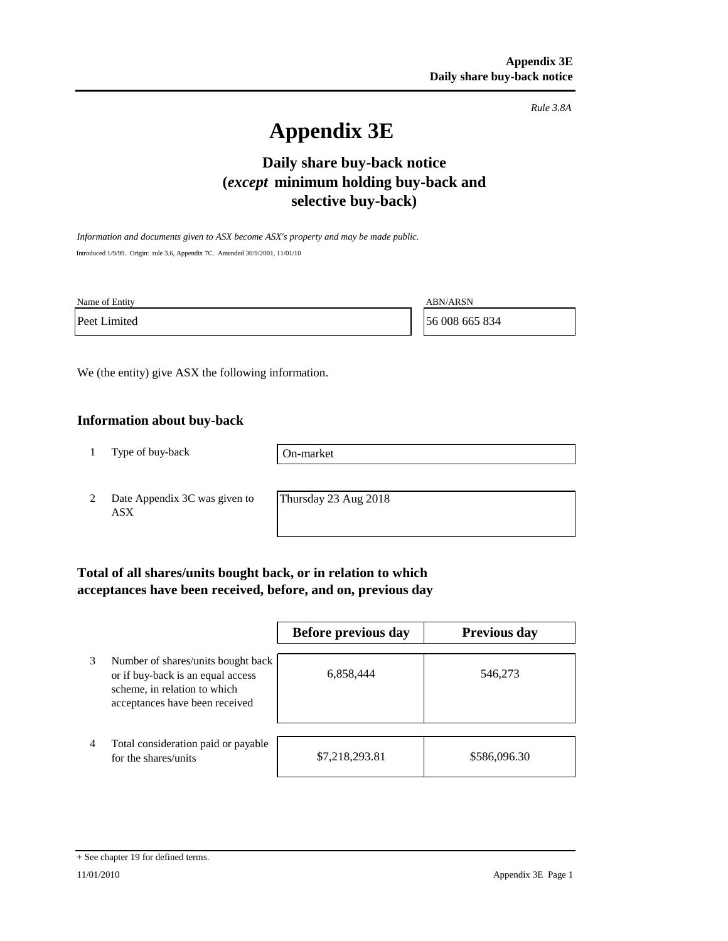*Rule 3.8A*

# **Appendix 3E**

## **Daily share buy-back notice (***except* **minimum holding buy-back and selective buy-back)**

*Information and documents given to ASX become ASX's property and may be made public.* Introduced 1/9/99. Origin: rule 3.6, Appendix 7C. Amended 30/9/2001, 11/01/10

Name of Entity ABN/ARSN

Peet Limited 56 008 665 834

We (the entity) give ASX the following information.

#### **Information about buy-back**

1 Type of buy-back

On-market

2 Date Appendix 3C was given to ASX

Thursday 23 Aug 2018

## **Total of all shares/units bought back, or in relation to which acceptances have been received, before, and on, previous day**

|   |                                                                                                                                           | Before previous day | <b>Previous day</b> |
|---|-------------------------------------------------------------------------------------------------------------------------------------------|---------------------|---------------------|
| 3 | Number of shares/units bought back<br>or if buy-back is an equal access<br>scheme, in relation to which<br>acceptances have been received | 6,858,444           | 546,273             |
| 4 | Total consideration paid or payable<br>for the shares/units                                                                               | \$7,218,293.81      | \$586,096.30        |

<sup>+</sup> See chapter 19 for defined terms.